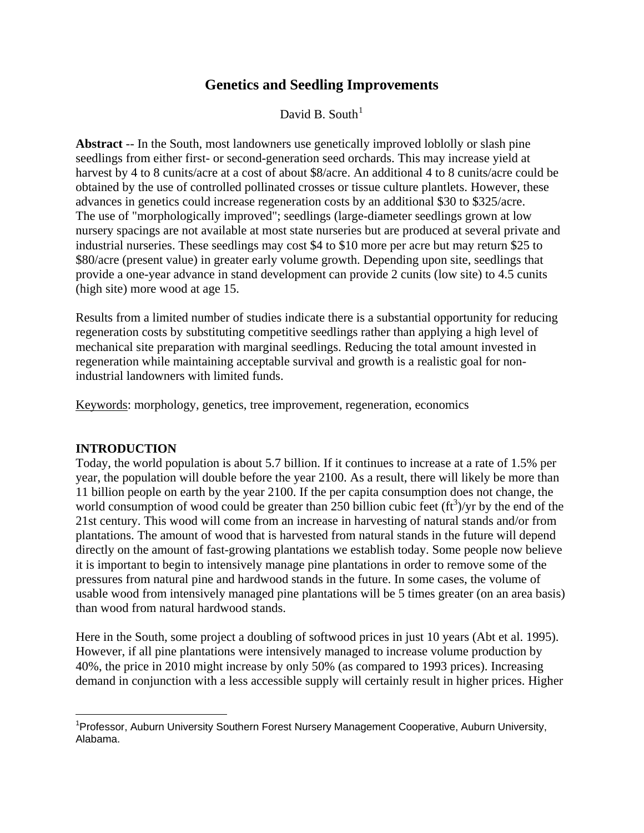# **Genetics and Seedling Improvements**

David B. South $<sup>1</sup>$  $<sup>1</sup>$  $<sup>1</sup>$ </sup>

**Abstract** -- In the South, most landowners use genetically improved loblolly or slash pine seedlings from either first- or second-generation seed orchards. This may increase yield at harvest by 4 to 8 cunits/acre at a cost of about \$8/acre. An additional 4 to 8 cunits/acre could be obtained by the use of controlled pollinated crosses or tissue culture plantlets. However, these advances in genetics could increase regeneration costs by an additional \$30 to \$325/acre. The use of "morphologically improved"; seedlings (large-diameter seedlings grown at low nursery spacings are not available at most state nurseries but are produced at several private and industrial nurseries. These seedlings may cost \$4 to \$10 more per acre but may return \$25 to \$80/acre (present value) in greater early volume growth. Depending upon site, seedlings that provide a one-year advance in stand development can provide 2 cunits (low site) to 4.5 cunits (high site) more wood at age 15.

Results from a limited number of studies indicate there is a substantial opportunity for reducing regeneration costs by substituting competitive seedlings rather than applying a high level of mechanical site preparation with marginal seedlings. Reducing the total amount invested in regeneration while maintaining acceptable survival and growth is a realistic goal for nonindustrial landowners with limited funds.

Keywords: morphology, genetics, tree improvement, regeneration, economics

## **INTRODUCTION**

Today, the world population is about 5.7 billion. If it continues to increase at a rate of 1.5% per year, the population will double before the year 2100. As a result, there will likely be more than 11 billion people on earth by the year 2100. If the per capita consumption does not change, the world consumption of wood could be greater than 250 billion cubic feet  $(f_t^3)/yr$  by the end of the 21st century. This wood will come from an increase in harvesting of natural stands and/or from plantations. The amount of wood that is harvested from natural stands in the future will depend directly on the amount of fast-growing plantations we establish today. Some people now believe it is important to begin to intensively manage pine plantations in order to remove some of the pressures from natural pine and hardwood stands in the future. In some cases, the volume of usable wood from intensively managed pine plantations will be 5 times greater (on an area basis) than wood from natural hardwood stands.

Here in the South, some project a doubling of softwood prices in just 10 years (Abt et al. 1995). However, if all pine plantations were intensively managed to increase volume production by 40%, the price in 2010 might increase by only 50% (as compared to 1993 prices). Increasing demand in conjunction with a less accessible supply will certainly result in higher prices. Higher

<span id="page-0-0"></span> $\overline{a}$ <sup>1</sup> Professor, Auburn University Southern Forest Nursery Management Cooperative, Auburn University, Alabama.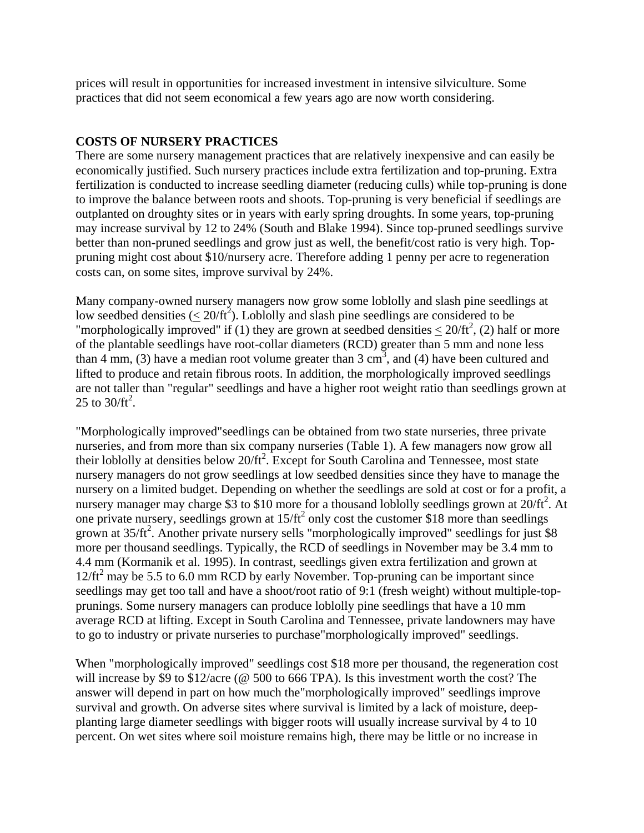prices will result in opportunities for increased investment in intensive silviculture. Some practices that did not seem economical a few years ago are now worth considering.

## **COSTS OF NURSERY PRACTICES**

There are some nursery management practices that are relatively inexpensive and can easily be economically justified. Such nursery practices include extra fertilization and top-pruning. Extra fertilization is conducted to increase seedling diameter (reducing culls) while top-pruning is done to improve the balance between roots and shoots. Top-pruning is very beneficial if seedlings are outplanted on droughty sites or in years with early spring droughts. In some years, top-pruning may increase survival by 12 to 24% (South and Blake 1994). Since top-pruned seedlings survive better than non-pruned seedlings and grow just as well, the benefit/cost ratio is very high. Toppruning might cost about \$10/nursery acre. Therefore adding 1 penny per acre to regeneration costs can, on some sites, improve survival by 24%.

Many company-owned nursery managers now grow some loblolly and slash pine seedlings at low seedbed densities ( $\leq 20/ft^2$ ). Loblolly and slash pine seedlings are considered to be "morphologically improved" if (1) they are grown at seedbed densities  $\leq 20/ft^2$ , (2) half or more of the plantable seedlings have root-collar diameters (RCD) greater than 5 mm and none less than 4 mm, (3) have a median root volume greater than 3 cm<sup>3</sup>, and (4) have been cultured and lifted to produce and retain fibrous roots. In addition, the morphologically improved seedlings are not taller than "regular" seedlings and have a higher root weight ratio than seedlings grown at 25 to  $30/ft^2$ .

"Morphologically improved"seedlings can be obtained from two state nurseries, three private nurseries, and from more than six company nurseries (Table 1). A few managers now grow all their loblolly at densities below  $20/ft^2$ . Except for South Carolina and Tennessee, most state nursery managers do not grow seedlings at low seedbed densities since they have to manage the nursery on a limited budget. Depending on whether the seedlings are sold at cost or for a profit, a nursery manager may charge \$3 to \$10 more for a thousand lobilly seedlings grown at  $20/ft^2$ . At one private nursery, seedlings grown at  $15/ft^2$  only cost the customer \$18 more than seedlings grown at  $35/ft^2$ . Another private nursery sells "morphologically improved" seedlings for just \$8 more per thousand seedlings. Typically, the RCD of seedlings in November may be 3.4 mm to 4.4 mm (Kormanik et al. 1995). In contrast, seedlings given extra fertilization and grown at  $12/ft<sup>2</sup>$  may be 5.5 to 6.0 mm RCD by early November. Top-pruning can be important since seedlings may get too tall and have a shoot/root ratio of 9:1 (fresh weight) without multiple-topprunings. Some nursery managers can produce loblolly pine seedlings that have a 10 mm average RCD at lifting. Except in South Carolina and Tennessee, private landowners may have to go to industry or private nurseries to purchase"morphologically improved" seedlings.

When "morphologically improved" seedlings cost \$18 more per thousand, the regeneration cost will increase by \$9 to \$12/acre (@ 500 to 666 TPA). Is this investment worth the cost? The answer will depend in part on how much the"morphologically improved" seedlings improve survival and growth. On adverse sites where survival is limited by a lack of moisture, deepplanting large diameter seedlings with bigger roots will usually increase survival by 4 to 10 percent. On wet sites where soil moisture remains high, there may be little or no increase in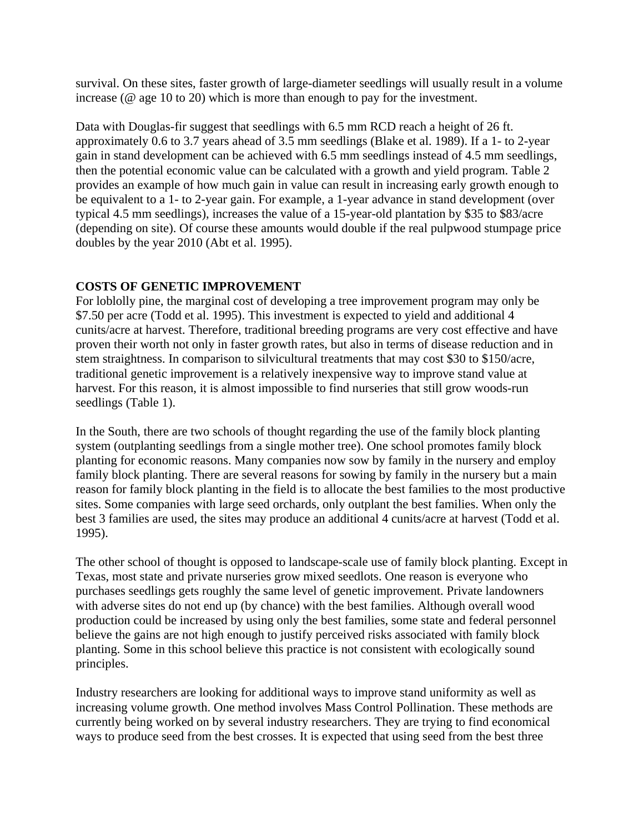survival. On these sites, faster growth of large-diameter seedlings will usually result in a volume increase (@ age 10 to 20) which is more than enough to pay for the investment.

Data with Douglas-fir suggest that seedlings with 6.5 mm RCD reach a height of 26 ft. approximately 0.6 to 3.7 years ahead of 3.5 mm seedlings (Blake et al. 1989). If a 1- to 2-year gain in stand development can be achieved with 6.5 mm seedlings instead of 4.5 mm seedlings, then the potential economic value can be calculated with a growth and yield program. Table 2 provides an example of how much gain in value can result in increasing early growth enough to be equivalent to a 1- to 2-year gain. For example, a 1-year advance in stand development (over typical 4.5 mm seedlings), increases the value of a 15-year-old plantation by \$35 to \$83/acre (depending on site). Of course these amounts would double if the real pulpwood stumpage price doubles by the year 2010 (Abt et al. 1995).

## **COSTS OF GENETIC IMPROVEMENT**

For loblolly pine, the marginal cost of developing a tree improvement program may only be \$7.50 per acre (Todd et al. 1995). This investment is expected to yield and additional 4 cunits/acre at harvest. Therefore, traditional breeding programs are very cost effective and have proven their worth not only in faster growth rates, but also in terms of disease reduction and in stem straightness. In comparison to silvicultural treatments that may cost \$30 to \$150/acre, traditional genetic improvement is a relatively inexpensive way to improve stand value at harvest. For this reason, it is almost impossible to find nurseries that still grow woods-run seedlings (Table 1).

In the South, there are two schools of thought regarding the use of the family block planting system (outplanting seedlings from a single mother tree). One school promotes family block planting for economic reasons. Many companies now sow by family in the nursery and employ family block planting. There are several reasons for sowing by family in the nursery but a main reason for family block planting in the field is to allocate the best families to the most productive sites. Some companies with large seed orchards, only outplant the best families. When only the best 3 families are used, the sites may produce an additional 4 cunits/acre at harvest (Todd et al. 1995).

The other school of thought is opposed to landscape-scale use of family block planting. Except in Texas, most state and private nurseries grow mixed seedlots. One reason is everyone who purchases seedlings gets roughly the same level of genetic improvement. Private landowners with adverse sites do not end up (by chance) with the best families. Although overall wood production could be increased by using only the best families, some state and federal personnel believe the gains are not high enough to justify perceived risks associated with family block planting. Some in this school believe this practice is not consistent with ecologically sound principles.

Industry researchers are looking for additional ways to improve stand uniformity as well as increasing volume growth. One method involves Mass Control Pollination. These methods are currently being worked on by several industry researchers. They are trying to find economical ways to produce seed from the best crosses. It is expected that using seed from the best three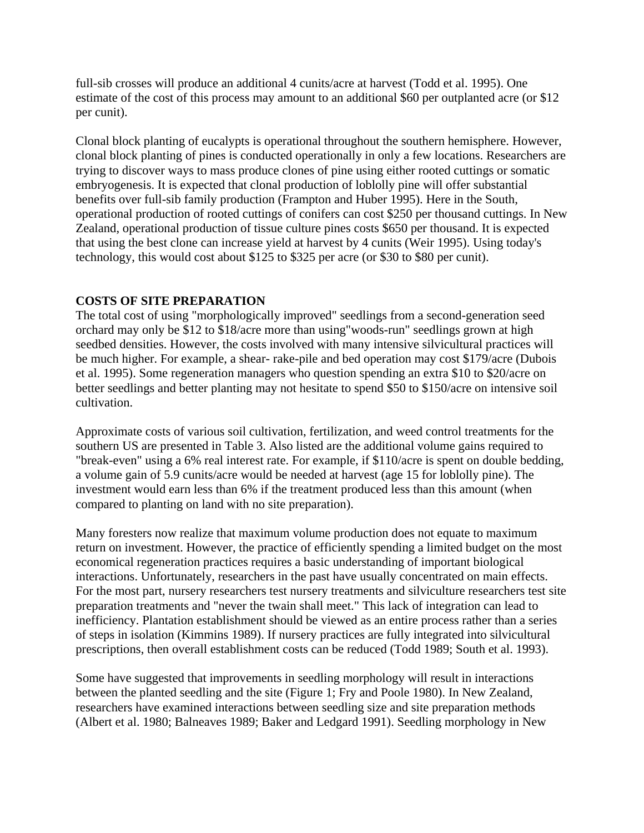full-sib crosses will produce an additional 4 cunits/acre at harvest (Todd et al. 1995). One estimate of the cost of this process may amount to an additional \$60 per outplanted acre (or \$12 per cunit).

Clonal block planting of eucalypts is operational throughout the southern hemisphere. However, clonal block planting of pines is conducted operationally in only a few locations. Researchers are trying to discover ways to mass produce clones of pine using either rooted cuttings or somatic embryogenesis. It is expected that clonal production of loblolly pine will offer substantial benefits over full-sib family production (Frampton and Huber 1995). Here in the South, operational production of rooted cuttings of conifers can cost \$250 per thousand cuttings. In New Zealand, operational production of tissue culture pines costs \$650 per thousand. It is expected that using the best clone can increase yield at harvest by 4 cunits (Weir 1995). Using today's technology, this would cost about \$125 to \$325 per acre (or \$30 to \$80 per cunit).

#### **COSTS OF SITE PREPARATION**

The total cost of using "morphologically improved" seedlings from a second-generation seed orchard may only be \$12 to \$18/acre more than using"woods-run" seedlings grown at high seedbed densities. However, the costs involved with many intensive silvicultural practices will be much higher. For example, a shear- rake-pile and bed operation may cost \$179/acre (Dubois et al. 1995). Some regeneration managers who question spending an extra \$10 to \$20/acre on better seedlings and better planting may not hesitate to spend \$50 to \$150/acre on intensive soil cultivation.

Approximate costs of various soil cultivation, fertilization, and weed control treatments for the southern US are presented in Table 3. Also listed are the additional volume gains required to "break-even" using a 6% real interest rate. For example, if \$110/acre is spent on double bedding, a volume gain of 5.9 cunits/acre would be needed at harvest (age 15 for loblolly pine). The investment would earn less than 6% if the treatment produced less than this amount (when compared to planting on land with no site preparation).

Many foresters now realize that maximum volume production does not equate to maximum return on investment. However, the practice of efficiently spending a limited budget on the most economical regeneration practices requires a basic understanding of important biological interactions. Unfortunately, researchers in the past have usually concentrated on main effects. For the most part, nursery researchers test nursery treatments and silviculture researchers test site preparation treatments and "never the twain shall meet." This lack of integration can lead to inefficiency. Plantation establishment should be viewed as an entire process rather than a series of steps in isolation (Kimmins 1989). If nursery practices are fully integrated into silvicultural prescriptions, then overall establishment costs can be reduced (Todd 1989; South et al. 1993).

Some have suggested that improvements in seedling morphology will result in interactions between the planted seedling and the site (Figure 1; Fry and Poole 1980). In New Zealand, researchers have examined interactions between seedling size and site preparation methods (Albert et al. 1980; Balneaves 1989; Baker and Ledgard 1991). Seedling morphology in New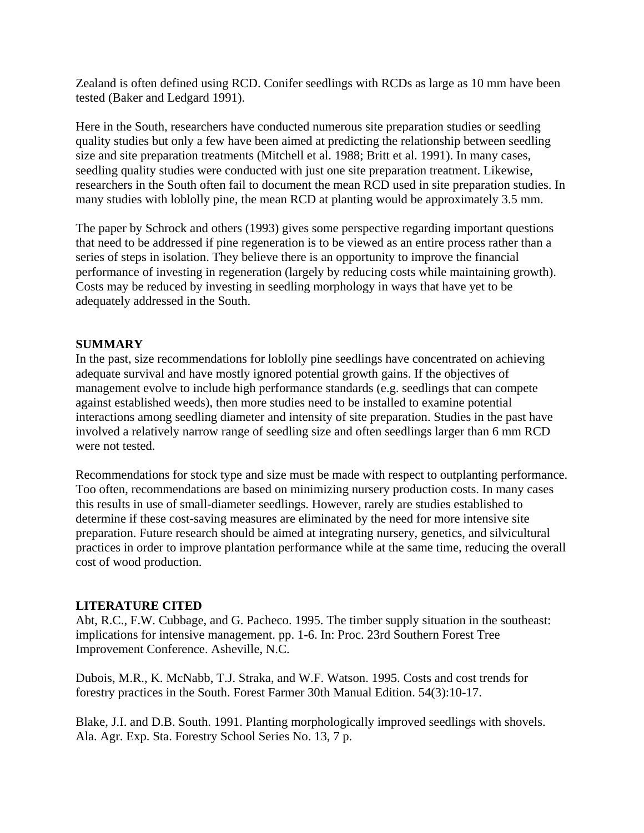Zealand is often defined using RCD. Conifer seedlings with RCDs as large as 10 mm have been tested (Baker and Ledgard 1991).

Here in the South, researchers have conducted numerous site preparation studies or seedling quality studies but only a few have been aimed at predicting the relationship between seedling size and site preparation treatments (Mitchell et al. 1988; Britt et al. 1991). In many cases, seedling quality studies were conducted with just one site preparation treatment. Likewise, researchers in the South often fail to document the mean RCD used in site preparation studies. In many studies with loblolly pine, the mean RCD at planting would be approximately 3.5 mm.

The paper by Schrock and others (1993) gives some perspective regarding important questions that need to be addressed if pine regeneration is to be viewed as an entire process rather than a series of steps in isolation. They believe there is an opportunity to improve the financial performance of investing in regeneration (largely by reducing costs while maintaining growth). Costs may be reduced by investing in seedling morphology in ways that have yet to be adequately addressed in the South.

#### **SUMMARY**

In the past, size recommendations for loblolly pine seedlings have concentrated on achieving adequate survival and have mostly ignored potential growth gains. If the objectives of management evolve to include high performance standards (e.g. seedlings that can compete against established weeds), then more studies need to be installed to examine potential interactions among seedling diameter and intensity of site preparation. Studies in the past have involved a relatively narrow range of seedling size and often seedlings larger than 6 mm RCD were not tested.

Recommendations for stock type and size must be made with respect to outplanting performance. Too often, recommendations are based on minimizing nursery production costs. In many cases this results in use of small-diameter seedlings. However, rarely are studies established to determine if these cost-saving measures are eliminated by the need for more intensive site preparation. Future research should be aimed at integrating nursery, genetics, and silvicultural practices in order to improve plantation performance while at the same time, reducing the overall cost of wood production.

#### **LITERATURE CITED**

Abt, R.C., F.W. Cubbage, and G. Pacheco. 1995. The timber supply situation in the southeast: implications for intensive management. pp. 1-6. In: Proc. 23rd Southern Forest Tree Improvement Conference. Asheville, N.C.

Dubois, M.R., K. McNabb, T.J. Straka, and W.F. Watson. 1995. Costs and cost trends for forestry practices in the South. Forest Farmer 30th Manual Edition. 54(3):10-17.

Blake, J.I. and D.B. South. 1991. Planting morphologically improved seedlings with shovels. Ala. Agr. Exp. Sta. Forestry School Series No. 13, 7 p.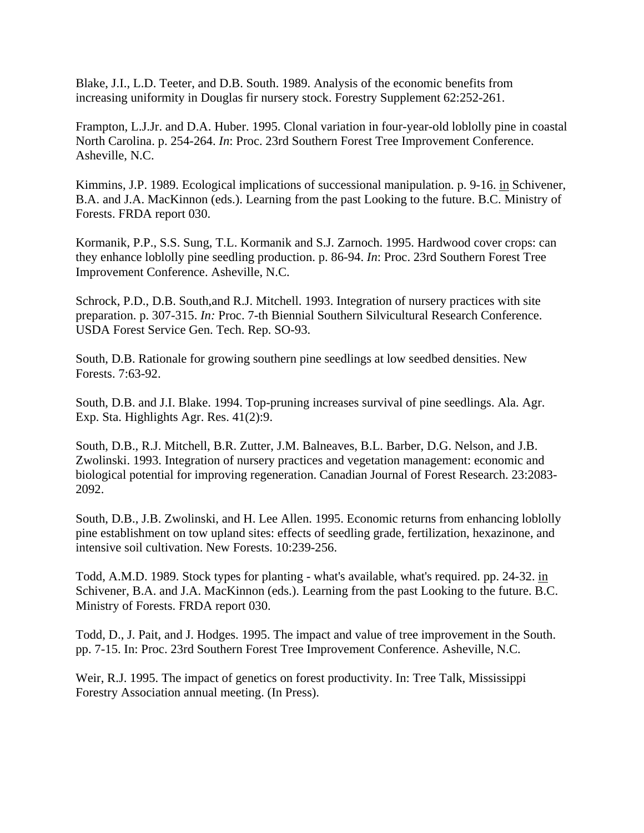Blake, J.I., L.D. Teeter, and D.B. South. 1989. Analysis of the economic benefits from increasing uniformity in Douglas fir nursery stock. Forestry Supplement 62:252-261.

Frampton, L.J.Jr. and D.A. Huber. 1995. Clonal variation in four-year-old loblolly pine in coastal North Carolina. p. 254-264. *In*: Proc. 23rd Southern Forest Tree Improvement Conference. Asheville, N.C.

Kimmins, J.P. 1989. Ecological implications of successional manipulation. p. 9-16. in Schivener, B.A. and J.A. MacKinnon (eds.). Learning from the past Looking to the future. B.C. Ministry of Forests. FRDA report 030.

Kormanik, P.P., S.S. Sung, T.L. Kormanik and S.J. Zarnoch. 1995. Hardwood cover crops: can they enhance loblolly pine seedling production. p. 86-94. *In*: Proc. 23rd Southern Forest Tree Improvement Conference. Asheville, N.C.

Schrock, P.D., D.B. South,and R.J. Mitchell. 1993. Integration of nursery practices with site preparation. p. 307-315. *In:* Proc. 7-th Biennial Southern Silvicultural Research Conference. USDA Forest Service Gen. Tech. Rep. SO-93.

South, D.B. Rationale for growing southern pine seedlings at low seedbed densities. New Forests. 7:63-92.

South, D.B. and J.I. Blake. 1994. Top-pruning increases survival of pine seedlings. Ala. Agr. Exp. Sta. Highlights Agr. Res. 41(2):9.

South, D.B., R.J. Mitchell, B.R. Zutter, J.M. Balneaves, B.L. Barber, D.G. Nelson, and J.B. Zwolinski. 1993. Integration of nursery practices and vegetation management: economic and biological potential for improving regeneration. Canadian Journal of Forest Research. 23:2083- 2092.

South, D.B., J.B. Zwolinski, and H. Lee Allen. 1995. Economic returns from enhancing loblolly pine establishment on tow upland sites: effects of seedling grade, fertilization, hexazinone, and intensive soil cultivation. New Forests. 10:239-256.

Todd, A.M.D. 1989. Stock types for planting - what's available, what's required. pp. 24-32. in Schivener, B.A. and J.A. MacKinnon (eds.). Learning from the past Looking to the future. B.C. Ministry of Forests. FRDA report 030.

Todd, D., J. Pait, and J. Hodges. 1995. The impact and value of tree improvement in the South. pp. 7-15. In: Proc. 23rd Southern Forest Tree Improvement Conference. Asheville, N.C.

Weir, R.J. 1995. The impact of genetics on forest productivity. In: Tree Talk, Mississippi Forestry Association annual meeting. (In Press).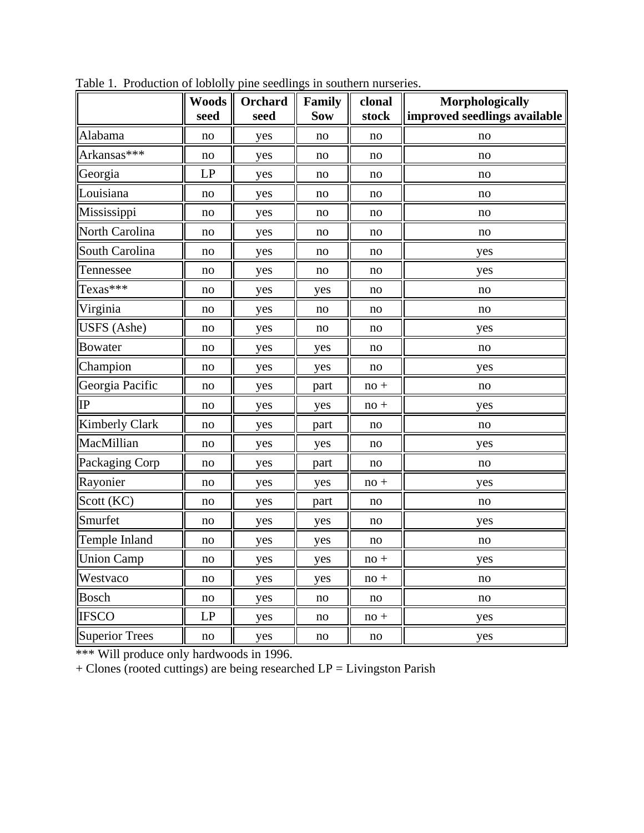|                       | <b>Woods</b><br>seed | Orchard<br>seed | Family<br><b>Sow</b>   | clonal<br>stock | Morphologically<br>improved seedlings available |  |  |
|-----------------------|----------------------|-----------------|------------------------|-----------------|-------------------------------------------------|--|--|
| Alabama               | no                   | yes             | no                     | no              | no                                              |  |  |
| Arkansas***           | no                   | yes             | no                     | no              | no                                              |  |  |
| Georgia               | LP                   | yes             | no                     | no              | no                                              |  |  |
| Louisiana             | no                   | yes             | no                     | no              | no                                              |  |  |
| Mississippi           | no                   | yes             | no                     | no              | no                                              |  |  |
| North Carolina        | no                   | yes             | no                     | no              | no                                              |  |  |
| South Carolina        | no                   | yes             | no                     | no              | yes                                             |  |  |
| Tennessee             | no                   | yes             | no                     | no              | yes                                             |  |  |
| Texas***              | no                   | yes             | yes                    | no              | no                                              |  |  |
| Virginia              | no                   | yes             | no                     | no              | no                                              |  |  |
| USFS (Ashe)           | no                   | yes             | no                     | no              | yes                                             |  |  |
| Bowater               | no                   | yes             | yes                    | no              | no                                              |  |  |
| Champion              | no                   | yes             | yes                    | no              | yes                                             |  |  |
| Georgia Pacific       | no                   | yes             | part                   | $no +$          | no                                              |  |  |
| IP                    | no                   | yes             | yes                    | $no +$          | yes                                             |  |  |
| <b>Kimberly Clark</b> | no                   | yes             | part                   | no              | no                                              |  |  |
| MacMillian            | no                   | yes             | yes                    | no              | yes                                             |  |  |
| Packaging Corp        | no                   | yes             | part                   | no              | no                                              |  |  |
| Rayonier              | no                   | yes             | yes                    | $no +$          | yes                                             |  |  |
| Scott (KC)            | no                   | yes             | part                   | no              | no                                              |  |  |
| Smurfet               | no                   | yes             | yes                    | no              | yes                                             |  |  |
| Temple Inland         | no                   | yes             | yes                    | no              | no                                              |  |  |
| <b>Union Camp</b>     | no                   | yes             | yes                    | $no +$          | yes                                             |  |  |
| Westvaco              | no                   | yes             | yes                    | $no +$          | no                                              |  |  |
| <b>Bosch</b>          | no                   | yes             | no                     | no              | no                                              |  |  |
| <b>IFSCO</b>          | LP                   | yes             | no                     | $no +$          | yes                                             |  |  |
| <b>Superior Trees</b> | no                   | yes             | $\mathop{\mathrm{no}}$ | no              | yes                                             |  |  |

Table 1. Production of loblolly pine seedlings in southern nurseries.

\*\*\* Will produce only hardwoods in 1996.

+ Clones (rooted cuttings) are being researched LP = Livingston Parish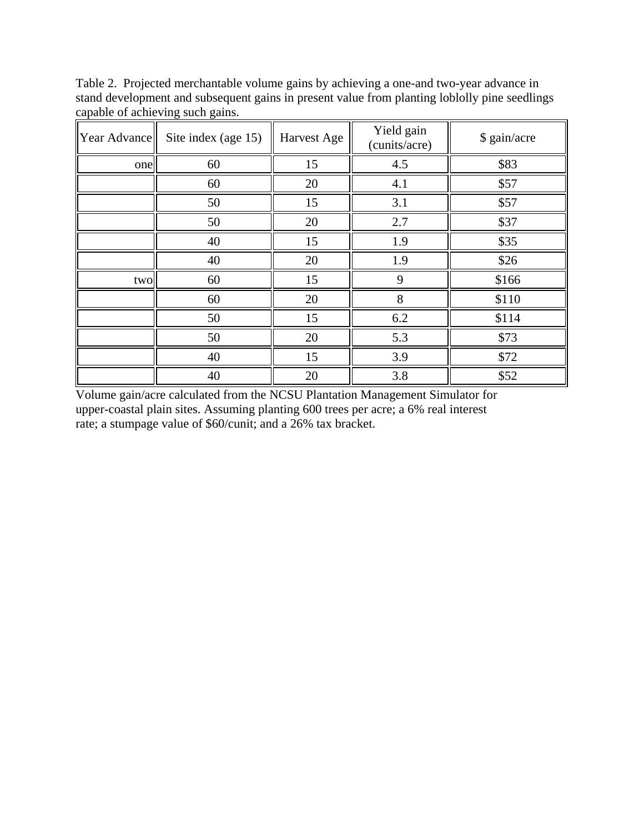|              | <u>Le partie et armetting savir ganner</u> |             |                             |              |  |  |  |  |  |
|--------------|--------------------------------------------|-------------|-----------------------------|--------------|--|--|--|--|--|
| Year Advance | Site index (age 15)                        | Harvest Age | Yield gain<br>(cunits/acre) | \$ gain/acre |  |  |  |  |  |
| one          | 60                                         | 15          | 4.5                         | \$83         |  |  |  |  |  |
|              | 60                                         | 20          | 4.1                         | \$57         |  |  |  |  |  |
|              | 50                                         | 15          | 3.1                         | \$57         |  |  |  |  |  |
|              | 50                                         | 20          | 2.7                         | \$37         |  |  |  |  |  |
|              | 40                                         | 15          | 1.9                         | \$35         |  |  |  |  |  |
|              | 40                                         | 20          | 1.9                         | \$26         |  |  |  |  |  |
| two          | 60                                         | 15          | 9                           | \$166        |  |  |  |  |  |
|              | 60                                         | 20          | 8                           | \$110        |  |  |  |  |  |
|              | 50                                         | 15          | 6.2                         | \$114        |  |  |  |  |  |
|              | 50                                         | 20          | 5.3                         | \$73         |  |  |  |  |  |
|              | 40                                         | 15          | 3.9                         | \$72         |  |  |  |  |  |
|              | 40                                         | 20          | 3.8                         | \$52         |  |  |  |  |  |

Table 2. Projected merchantable volume gains by achieving a one-and two-year advance in stand development and subsequent gains in present value from planting loblolly pine seedlings capable of achieving such gains.

Volume gain/acre calculated from the NCSU Plantation Management Simulator for upper-coastal plain sites. Assuming planting 600 trees per acre; a 6% real interest rate; a stumpage value of \$60/cunit; and a 26% tax bracket.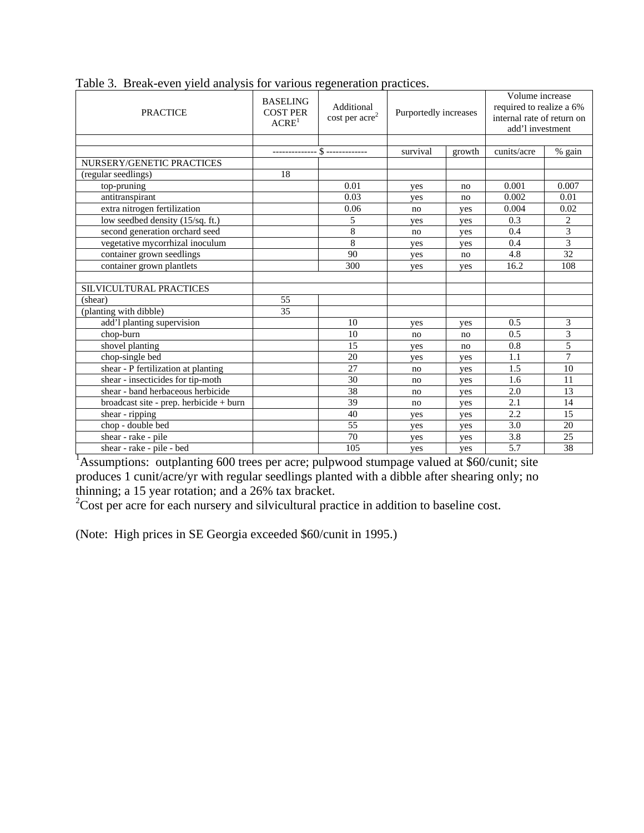| <b>PRACTICE</b>                         | <b>BASELING</b><br><b>COST PER</b><br>ACRE <sup>1</sup> | Additional<br>cost per acre <sup>2</sup> | Purportedly increases |        | Volume increase<br>required to realize a 6%<br>internal rate of return on<br>add'l investment |                |
|-----------------------------------------|---------------------------------------------------------|------------------------------------------|-----------------------|--------|-----------------------------------------------------------------------------------------------|----------------|
|                                         |                                                         |                                          |                       |        |                                                                                               |                |
|                                         |                                                         |                                          | survival              | growth | cunits/acre                                                                                   | % gain         |
| NURSERY/GENETIC PRACTICES               |                                                         |                                          |                       |        |                                                                                               |                |
| (regular seedlings)                     | 18                                                      |                                          |                       |        |                                                                                               |                |
| top-pruning                             |                                                         | 0.01                                     | yes                   | no     | 0.001                                                                                         | 0.007          |
| antitranspirant                         |                                                         | 0.03                                     | yes                   | no     | 0.002                                                                                         | 0.01           |
| extra nitrogen fertilization            |                                                         | 0.06                                     | no                    | yes    | 0.004                                                                                         | 0.02           |
| low seedbed density (15/sq. ft.)        |                                                         | 5                                        | yes                   | yes    | 0.3                                                                                           | $\overline{2}$ |
| second generation orchard seed          |                                                         | $\,$ 8 $\,$                              | no                    | yes    | 0.4                                                                                           | $\overline{3}$ |
| vegetative mycorrhizal inoculum         |                                                         | 8                                        | yes                   | yes    | 0.4                                                                                           | 3              |
| container grown seedlings               |                                                         | 90                                       | yes                   | no     | 4.8                                                                                           | 32             |
| container grown plantlets               |                                                         | 300                                      | yes                   | yes    | 16.2                                                                                          | 108            |
|                                         |                                                         |                                          |                       |        |                                                                                               |                |
| SILVICULTURAL PRACTICES                 |                                                         |                                          |                       |        |                                                                                               |                |
| (shear)                                 | 55                                                      |                                          |                       |        |                                                                                               |                |
| (planting with dibble)                  | 35                                                      |                                          |                       |        |                                                                                               |                |
| add'l planting supervision              |                                                         | 10                                       | yes                   | yes    | 0.5                                                                                           | 3              |
| chop-burn                               |                                                         | 10                                       | no                    | no     | 0.5                                                                                           | $\overline{3}$ |
| shovel planting                         |                                                         | 15                                       | yes                   | no     | 0.8                                                                                           | 5              |
| chop-single bed                         |                                                         | 20                                       | yes                   | yes    | 1.1                                                                                           | $\overline{7}$ |
| shear - P fertilization at planting     |                                                         | 27                                       | no                    | yes    | 1.5                                                                                           | 10             |
| shear - insecticides for tip-moth       |                                                         | 30                                       | no                    | yes    | 1.6                                                                                           | 11             |
| shear - band herbaceous herbicide       |                                                         | 38                                       | no                    | yes    | 2.0                                                                                           | 13             |
| broadcast site - prep. herbicide + burn |                                                         | 39                                       | no                    | yes    | 2.1                                                                                           | 14             |
| shear - ripping                         |                                                         | 40                                       | yes                   | yes    | 2.2                                                                                           | 15             |
| chop - double bed                       |                                                         | 55                                       | yes                   | yes    | 3.0                                                                                           | 20             |
| shear - rake - pile                     |                                                         | 70                                       | yes                   | yes    | 3.8                                                                                           | 25             |
| shear - rake - pile - bed               |                                                         | 105                                      | yes                   | yes    | 5.7                                                                                           | 38             |

Table 3. Break-even yield analysis for various regeneration practices.

<sup>1</sup>Assumptions: outplanting 600 trees per acre; pulpwood stumpage valued at \$60/cunit; site produces 1 cunit/acre/yr with regular seedlings planted with a dibble after shearing only; no thinning; a 15 year rotation; and a 26% tax bracket.

<sup>2</sup>Cost per acre for each nursery and silvicultural practice in addition to baseline cost.

(Note: High prices in SE Georgia exceeded \$60/cunit in 1995.)